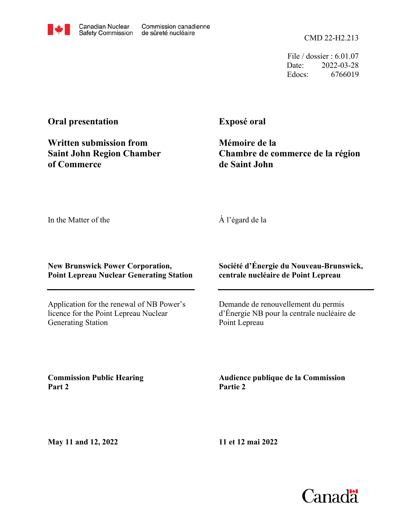File / dossier : 6.01.07 Date: 2022-03-28 Edocs: 6766019

## **Oral presentation**

**Written submission from Saint John Region Chamber of Commerce**

**Exposé oral**

**Mémoire de la Chambre de commerce de la région de Saint John**

In the Matter of the

À l'égard de la

## **New Brunswick Power Corporation, Point Lepreau Nuclear Generating Station**

Application for the renewal of NB Power's licence for the Point Lepreau Nuclear Generating Station

## **Société d'Énergie du Nouveau-Brunswick, centrale nucléaire de Point Lepreau**

Demande de renouvellement du permis d'Énergie NB pour la centrale nucléaire de Point Lepreau

**Audience publique de la Commission**

**Commission Public Hearing Part 2**

**May 11 and 12, 2022**

**11 et 12 mai 2022**

**Partie 2**





Commission canadienne

de sûreté nucléaire